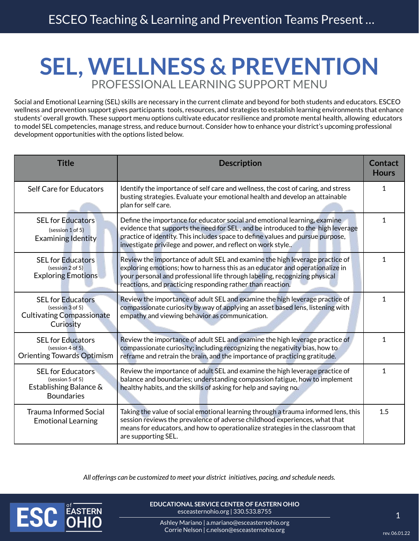## **SEL, WELLNESS & PREVENTION** PROFESSIONAL LEARNING SUPPORT MENU

Social and Emotional Learning (SEL) skills are necessary in the current climate and beyond for both students and educators. ESCEO wellness and prevention support gives participants tools, resources, and strategies to establish learning environments that enhance students' overall growth. These support menu options cultivate educator resilience and promote mental health, allowing educators to model SEL competencies, manage stress, and reduce burnout. Consider how to enhance your district's upcoming professional development opportunities with the options listed below.

| <b>Title</b>                                                                                  | <b>Description</b>                                                                                                                                                                                                                                                                                           | <b>Contact</b><br><b>Hours</b> |
|-----------------------------------------------------------------------------------------------|--------------------------------------------------------------------------------------------------------------------------------------------------------------------------------------------------------------------------------------------------------------------------------------------------------------|--------------------------------|
| <b>Self Care for Educators</b>                                                                | Identify the importance of self care and wellness, the cost of caring, and stress<br>busting strategies. Evaluate your emotional health and develop an attainable<br>plan for self care.                                                                                                                     | $\mathbf{1}$                   |
| <b>SEL for Educators</b><br>(session 1 of 5)<br><b>Examining Identity</b>                     | Define the importance for educator social and emotional learning, examine<br>evidence that supports the need for SEL, and be introduced to the high leverage<br>practice of identity. This includes space to define values and pursue purpose,<br>investigate privilege and power, and reflect on work style | $\mathbf{1}$                   |
| <b>SEL for Educators</b><br>(session 2 of 5)<br><b>Exploring Emotions</b>                     | Review the importance of adult SEL and examine the high leverage practice of<br>exploring emotions; how to harness this as an educator and operationalize in<br>your personal and professional life through labeling, recognizing physical<br>reactions, and practicing responding rather than reaction.     | 1                              |
| <b>SEL for Educators</b><br>(session 3 of 5)<br><b>Cultivating Compassionate</b><br>Curiosity | Review the importance of adult SEL and examine the high leverage practice of<br>compassionate curiosity by way of applying an asset based lens, listening with<br>empathy and viewing behavior as communication.                                                                                             | $\mathbf{1}$                   |
| <b>SEL for Educators</b><br>(session 4 of 5)<br><b>Orienting Towards Optimism</b>             | Review the importance of adult SEL and examine the high leverage practice of<br>compassionate curiosity; including recognizing the negativity bias, how to<br>reframe and retrain the brain, and the importance of practicing gratitude.                                                                     | $\mathbf{1}$                   |
| <b>SEL for Educators</b><br>(session 5 of 5)<br>Establishing Balance &<br><b>Boundaries</b>   | Review the importance of adult SEL and examine the high leverage practice of<br>balance and boundaries; understanding compassion fatigue, how to implement<br>healthy habits, and the skills of asking for help and saying no.                                                                               | $\mathbf{1}$                   |
| <b>Trauma Informed Social</b><br><b>Emotional Learning</b>                                    | Taking the value of social emotional learning through a trauma informed lens, this<br>session reviews the prevalence of adverse childhood experiences, what that<br>means for educators, and how to operationalize strategies in the classroom that<br>are supporting SEL.                                   | 1.5                            |

*All offerings can be customized to meet your district initiatives, pacing, and schedule needs.* 



**EDUCATIONAL SERVICE CENTER OF EASTERN OHIO** esceasternohio.org | 330.533.8755

1

Ashley Mariano | a.mariano@esceasternohio.org Corrie Nelson | c.nelson@esceasternohio.org rev. 06.01.22